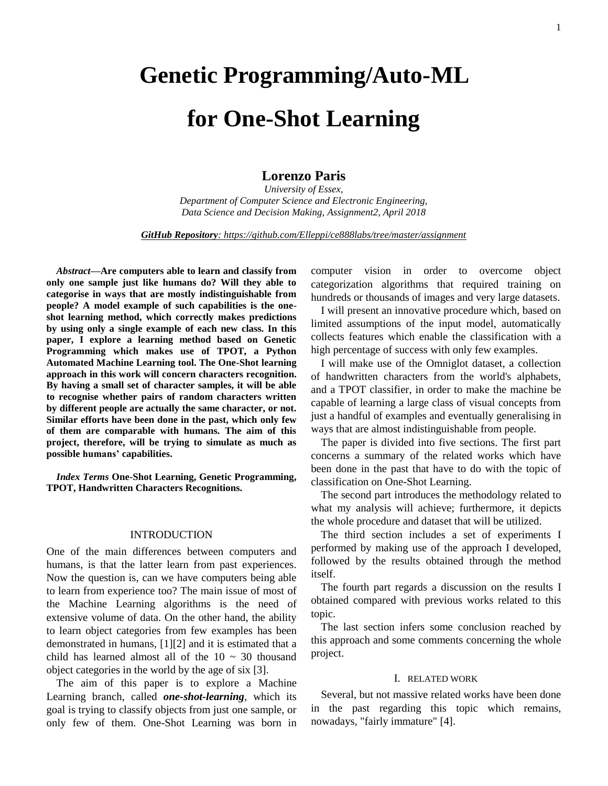# **Genetic Programming/Auto-ML**

# **for One-Shot Learning**

# **Lorenzo Paris**

*University of Essex, Department of Computer Science and Electronic Engineering, Data Science and Decision Making, Assignment2, April 2018*

*GitHub Repository: https://github.com/Elleppi/ce888labs/tree/master/assignment*

*Abstract***—Are computers able to learn and classify from only one sample just like humans do? Will they able to categorise in ways that are mostly indistinguishable from people? A model example of such capabilities is the oneshot learning method, which correctly makes predictions by using only a single example of each new class. In this paper, I explore a learning method based on Genetic Programming which makes use of TPOT, a Python Automated Machine Learning tool. The One-Shot learning approach in this work will concern characters recognition. By having a small set of character samples, it will be able to recognise whether pairs of random characters written by different people are actually the same character, or not. Similar efforts have been done in the past, which only few of them are comparable with humans. The aim of this project, therefore, will be trying to simulate as much as possible humans' capabilities.**

*Index Terms* **One-Shot Learning, Genetic Programming, TPOT, Handwritten Characters Recognitions.**

## INTRODUCTION

One of the main differences between computers and humans, is that the latter learn from past experiences. Now the question is, can we have computers being able to learn from experience too? The main issue of most of the Machine Learning algorithms is the need of extensive volume of data. On the other hand, the ability to learn object categories from few examples has been demonstrated in humans, [1][2] and it is estimated that a child has learned almost all of the  $10 \sim 30$  thousand object categories in the world by the age of six [3].

The aim of this paper is to explore a Machine Learning branch, called *one-shot-learning*, which its goal is trying to classify objects from just one sample, or only few of them. One-Shot Learning was born in computer vision in order to overcome object categorization algorithms that required training on hundreds or thousands of images and very large datasets.

I will present an innovative procedure which, based on limited assumptions of the input model, automatically collects features which enable the classification with a high percentage of success with only few examples.

I will make use of the Omniglot dataset, a collection of handwritten characters from the world's alphabets, and a TPOT classifier, in order to make the machine be capable of learning a large class of visual concepts from just a handful of examples and eventually generalising in ways that are almost indistinguishable from people.

The paper is divided into five sections. The first part concerns a summary of the related works which have been done in the past that have to do with the topic of classification on One-Shot Learning.

The second part introduces the methodology related to what my analysis will achieve; furthermore, it depicts the whole procedure and dataset that will be utilized.

The third section includes a set of experiments I performed by making use of the approach I developed, followed by the results obtained through the method itself.

The fourth part regards a discussion on the results I obtained compared with previous works related to this topic.

The last section infers some conclusion reached by this approach and some comments concerning the whole project.

#### I. RELATED WORK

Several, but not massive related works have been done in the past regarding this topic which remains, nowadays, "fairly immature" [4].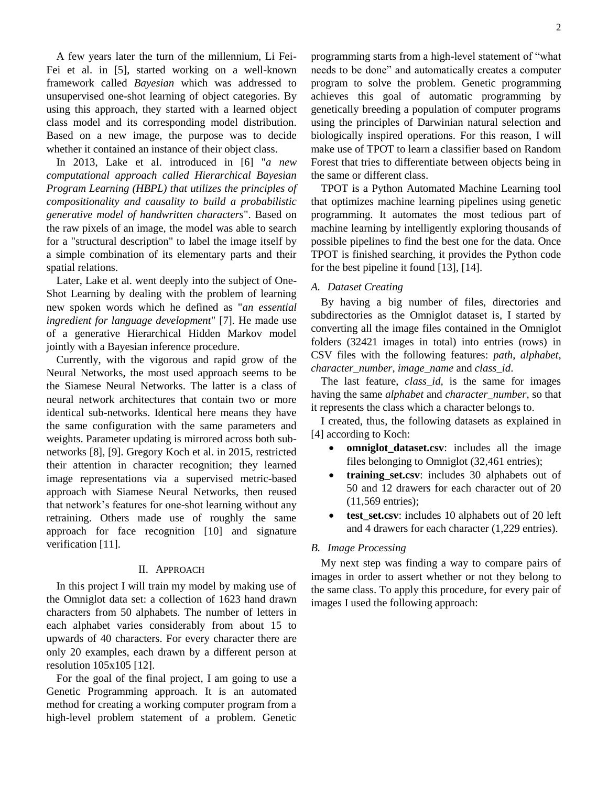A few years later the turn of the millennium, Li Fei-Fei et al. in [5], started working on a well-known framework called *Bayesian* which was addressed to unsupervised one-shot learning of object categories. By using this approach, they started with a learned object class model and its corresponding model distribution. Based on a new image, the purpose was to decide whether it contained an instance of their object class.

In 2013, Lake et al. introduced in [6] "*a new computational approach called Hierarchical Bayesian Program Learning (HBPL) that utilizes the principles of compositionality and causality to build a probabilistic generative model of handwritten characters*". Based on the raw pixels of an image, the model was able to search for a "structural description" to label the image itself by a simple combination of its elementary parts and their spatial relations.

Later, Lake et al. went deeply into the subject of One-Shot Learning by dealing with the problem of learning new spoken words which he defined as "*an essential ingredient for language development*" [7]. He made use of a generative Hierarchical Hidden Markov model jointly with a Bayesian inference procedure.

Currently, with the vigorous and rapid grow of the Neural Networks, the most used approach seems to be the Siamese Neural Networks. The latter is a class of neural network architectures that contain two or more identical sub-networks. Identical here means they have the same configuration with the same parameters and weights. Parameter updating is mirrored across both subnetworks [8], [9]. Gregory Koch et al. in 2015, restricted their attention in character recognition; they learned image representations via a supervised metric-based approach with Siamese Neural Networks, then reused that network's features for one-shot learning without any retraining. Others made use of roughly the same approach for face recognition [10] and signature verification [11].

#### II. APPROACH

In this project I will train my model by making use of the Omniglot data set: a collection of 1623 hand drawn characters from 50 alphabets. The number of letters in each alphabet varies considerably from about 15 to upwards of 40 characters. For every character there are only 20 examples, each drawn by a different person at resolution 105x105 [12].

For the goal of the final project, I am going to use a Genetic Programming approach. It is an automated method for creating a working computer program from a high-level problem statement of a problem. Genetic programming starts from a high-level statement of "what needs to be done" and automatically creates a computer program to solve the problem. Genetic programming achieves this goal of automatic programming by genetically breeding a population of computer programs using the principles of Darwinian natural selection and biologically inspired operations. For this reason, I will make use of TPOT to learn a classifier based on Random Forest that tries to differentiate between objects being in the same or different class.

TPOT is a Python Automated Machine Learning tool that optimizes machine learning pipelines using genetic programming. It automates the most tedious part of machine learning by intelligently exploring thousands of possible pipelines to find the best one for the data. Once TPOT is finished searching, it provides the Python code for the best pipeline it found [13], [14].

#### *A. Dataset Creating*

By having a big number of files, directories and subdirectories as the Omniglot dataset is, I started by converting all the image files contained in the Omniglot folders (32421 images in total) into entries (rows) in CSV files with the following features: *path*, *alphabet*, *character\_number, image\_name* and *class\_id*.

The last feature, *class\_id,* is the same for images having the same *alphabet* and *character\_number*, so that it represents the class which a character belongs to.

I created, thus, the following datasets as explained in [4] according to Koch:

- **omniglot\_dataset.csv**: includes all the image files belonging to Omniglot (32,461 entries);
- **training\_set.csv**: includes 30 alphabets out of 50 and 12 drawers for each character out of 20 (11,569 entries);
- **test set.csv**: includes 10 alphabets out of 20 left and 4 drawers for each character (1,229 entries).

## *B. Image Processing*

My next step was finding a way to compare pairs of images in order to assert whether or not they belong to the same class. To apply this procedure, for every pair of images I used the following approach: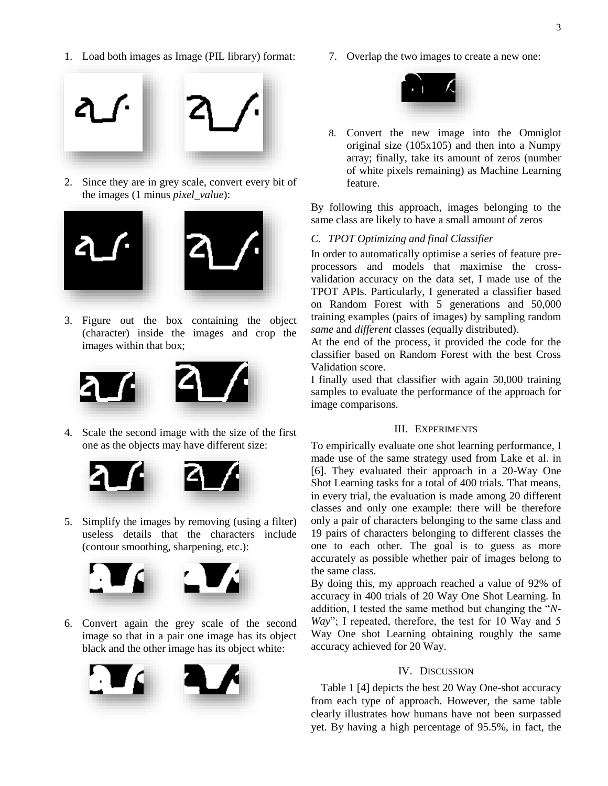1. Load both images as Image (PIL library) format:



2. Since they are in grey scale, convert every bit of the images (1 minus *pixel\_value*):



3. Figure out the box containing the object (character) inside the images and crop the images within that box;



4. Scale the second image with the size of the first one as the objects may have different size:





5. Simplify the images by removing (using a filter) useless details that the characters include (contour smoothing, sharpening, etc.):



6. Convert again the grey scale of the second image so that in a pair one image has its object black and the other image has its object white:



7. Overlap the two images to create a new one:



8. Convert the new image into the Omniglot original size (105x105) and then into a Numpy array; finally, take its amount of zeros (number of white pixels remaining) as Machine Learning feature.

By following this approach, images belonging to the same class are likely to have a small amount of zeros

#### *C. TPOT Optimizing and final Classifier*

In order to automatically optimise a series of feature preprocessors and models that maximise the crossvalidation accuracy on the data set, I made use of the TPOT APIs. Particularly, I generated a classifier based on Random Forest with 5 generations and 50,000 training examples (pairs of images) by sampling random *same* and *different* classes (equally distributed).

At the end of the process, it provided the code for the classifier based on Random Forest with the best Cross Validation score.

I finally used that classifier with again 50,000 training samples to evaluate the performance of the approach for image comparisons.

#### III. EXPERIMENTS

To empirically evaluate one shot learning performance, I made use of the same strategy used from Lake et al. in [6]. They evaluated their approach in a 20-Way One Shot Learning tasks for a total of 400 trials. That means, in every trial, the evaluation is made among 20 different classes and only one example: there will be therefore only a pair of characters belonging to the same class and 19 pairs of characters belonging to different classes the one to each other. The goal is to guess as more accurately as possible whether pair of images belong to the same class.

By doing this, my approach reached a value of 92% of accuracy in 400 trials of 20 Way One Shot Learning. In addition, I tested the same method but changing the "*N-Way*"; I repeated, therefore, the test for 10 Way and 5 Way One shot Learning obtaining roughly the same accuracy achieved for 20 Way.

## IV. DISCUSSION

Table 1 [4] depicts the best 20 Way One-shot accuracy from each type of approach. However, the same table clearly illustrates how humans have not been surpassed yet. By having a high percentage of 95.5%, in fact, the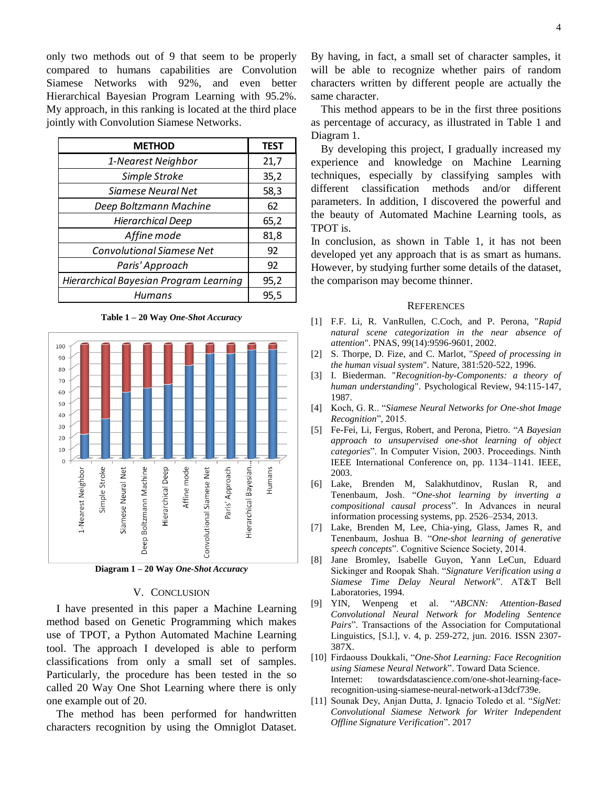only two methods out of 9 that seem to be properly compared to humans capabilities are Convolution Siamese Networks with 92%, and even better Hierarchical Bayesian Program Learning with 95.2%. My approach, in this ranking is located at the third place jointly with Convolution Siamese Networks.

| <b>METHOD</b>                          | <b>TEST</b> |
|----------------------------------------|-------------|
| 1-Nearest Neighbor                     | 21,7        |
| Simple Stroke                          | 35,2        |
| Siamese Neural Net                     | 58,3        |
| Deep Boltzmann Machine                 | 62          |
| <b>Hierarchical Deep</b>               | 65,2        |
| Affine mode                            | 81,8        |
| <b>Convolutional Siamese Net</b>       | 92          |
| Paris' Approach                        | 92          |
| Hierarchical Bayesian Program Learning | 95,2        |
| Humans                                 | 95,5        |

**Table 1 – 20 Way** *One-Shot Accuracy*



## V. CONCLUSION

I have presented in this paper a Machine Learning method based on Genetic Programming which makes use of TPOT, a Python Automated Machine Learning tool. The approach I developed is able to perform classifications from only a small set of samples. Particularly, the procedure has been tested in the so called 20 Way One Shot Learning where there is only one example out of 20.

The method has been performed for handwritten characters recognition by using the Omniglot Dataset.

By having, in fact, a small set of character samples, it will be able to recognize whether pairs of random characters written by different people are actually the same character.

This method appears to be in the first three positions as percentage of accuracy, as illustrated in Table 1 and Diagram 1.

By developing this project, I gradually increased my experience and knowledge on Machine Learning techniques, especially by classifying samples with different classification methods and/or different parameters. In addition, I discovered the powerful and the beauty of Automated Machine Learning tools, as TPOT is.

In conclusion, as shown in Table 1, it has not been developed yet any approach that is as smart as humans. However, by studying further some details of the dataset, the comparison may become thinner.

#### **REFERENCES**

- [1] F.F. Li, R. VanRullen, C.Coch, and P. Perona, "*Rapid natural scene categorization in the near absence of attention*". PNAS, 99(14):9596-9601, 2002.
- [2] S. Thorpe, D. Fize, and C. Marlot, "*Speed of processing in the human visual system*". Nature, 381:520-522, 1996.
- [3] I. Biederman. "*Recognition-by-Components: a theory of human understanding*". Psychological Review, 94:115-147, 1987.
- [4] Koch, G. R.. "*Siamese Neural Networks for One-shot Image Recognition*", 2015.
- [5] Fe-Fei, Li, Fergus, Robert, and Perona, Pietro. "*A Bayesian approach to unsupervised one-shot learning of object categories*". In Computer Vision, 2003. Proceedings. Ninth IEEE International Conference on, pp. 1134–1141. IEEE, 2003.
- [6] Lake, Brenden M, Salakhutdinov, Ruslan R, and Tenenbaum, Josh. "*One-shot learning by inverting a compositional causal process*". In Advances in neural information processing systems, pp. 2526–2534, 2013.
- [7] Lake, Brenden M, Lee, Chia-ying, Glass, James R, and Tenenbaum, Joshua B. "*One-shot learning of generative speech concepts*". Cognitive Science Society, 2014.
- [8] Jane Bromley, Isabelle Guyon, Yann LeCun, Eduard Sickinger and Roopak Shah. "*Signature Verification using a Siamese Time Delay Neural Network*". AT&T Bell Laboratories, 1994.
- [9] YIN, Wenpeng et al. "*ABCNN: Attention-Based Convolutional Neural Network for Modeling Sentence Pairs*". Transactions of the Association for Computational Linguistics, [S.l.], v. 4, p. 259-272, jun. 2016. ISSN 2307- 387X.
- [10] Firdaouss Doukkali, "*One-Shot Learning: Face Recognition using Siamese Neural Network*". Toward Data Science. Internet: towardsdatascience.com/one-shot-learning-facerecognition-using-siamese-neural-network-a13dcf739e.
- [11] Sounak Dey, Anjan Dutta, J. Ignacio Toledo et al. "*SigNet: Convolutional Siamese Network for Writer Independent*